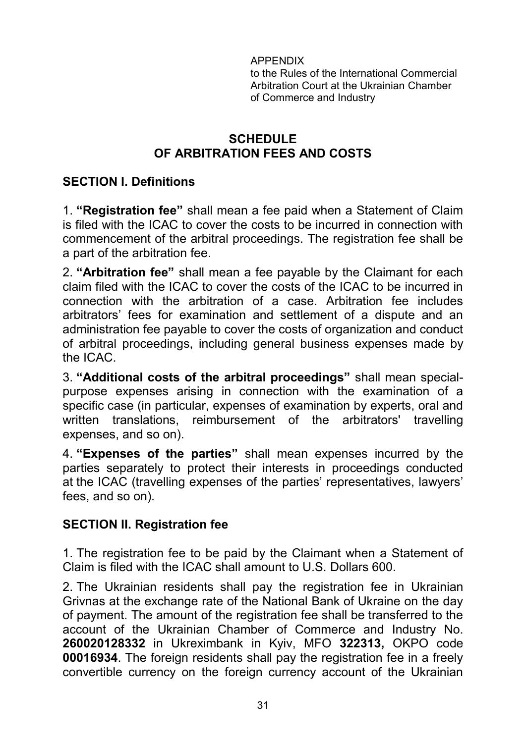APPENDIX to the Rules of the International Commercial Arbitration Court at the Ukrainian Chamber of Commerce and Industry

### **SCHEDULE OF ARBITRATION FEES AND COSTS**

## **SECTION I. Definitions**

1. **"Registration fee"** shall mean a fee paid when a Statement of Claim is filed with the ICAC to cover the costs to be incurred in connection with commencement of the arbitral proceedings. The registration fee shall be a part of the arbitration fee.

2. **"Arbitration fee"** shall mean a fee payable by the Claimant for each claim filed with the ICAC to cover the costs of the ICAC to be incurred in connection with the arbitration of a case. Arbitration fee includes arbitrators' fees for examination and settlement of a dispute and an administration fee payable to cover the costs of organization and conduct of arbitral proceedings, including general business expenses made by the ICAC.

3. **"Additional costs of the arbitral proceedings"** shall mean specialpurpose expenses arising in connection with the examination of a specific case (in particular, expenses of examination by experts, oral and written translations, reimbursement of the arbitrators' travelling expenses, and so on).

4. **"Expenses of the parties"** shall mean expenses incurred by the parties separately to protect their interests in proceedings conducted at the ICAC (travelling expenses of the parties' representatives, lawyers' fees, and so on).

### **SECTION II. Registration fee**

1. The registration fee to be paid by the Claimant when a Statement of Claim is filed with the ICAC shall amount to U.S. Dollars 600.

2. The Ukrainian residents shall pay the registration fee in Ukrainian Grivnas at the exchange rate of the National Bank of Ukraine on the day of payment. The amount of the registration fee shall be transferred to the account of the Ukrainian Chamber of Commerce and Industry No. **260020128332** in Ukreximbank in Kyiv, MFO **322313,** OKPO code **00016934**. The foreign residents shall pay the registration fee in a freely convertible currency on the foreign currency account of the Ukrainian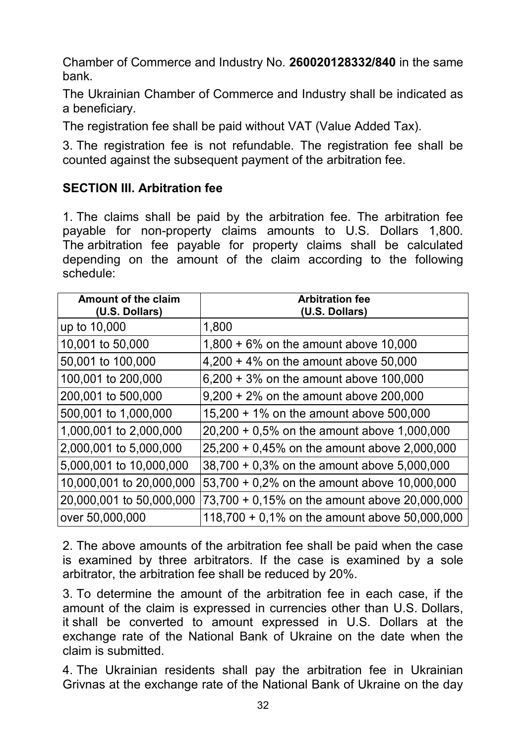Chamber of Commerce and Industry No. **260020128332/840** in the same bank.

The Ukrainian Chamber of Commerce and Industry shall be indicated as a beneficiary.

The registration fee shall be paid without VAT (Value Added Tax).

3. The registration fee is not refundable. The registration fee shall be counted against the subsequent payment of the arbitration fee.

## **SECTION III. Arbitration fee**

1. The claims shall be paid by the arbitration fee. The arbitration fee payable for non-property claims amounts to U.S. Dollars 1,800. The arbitration fee payable for property claims shall be calculated depending on the amount of the claim according to the following schedule:

| <b>Amount of the claim</b><br>(U.S. Dollars) | <b>Arbitration fee</b><br>(U.S. Dollars)       |
|----------------------------------------------|------------------------------------------------|
| up to 10,000                                 | 1,800                                          |
| 10,001 to 50,000                             | $1,800 + 6\%$ on the amount above 10,000       |
| 50,001 to 100,000                            | $4,200 + 4\%$ on the amount above 50,000       |
| 100,001 to 200,000                           | $6,200 + 3\%$ on the amount above 100,000      |
| 200,001 to 500,000                           | $9,200 + 2\%$ on the amount above 200,000      |
| 500,001 to 1,000,000                         | 15,200 + 1% on the amount above 500,000        |
| 1,000,001 to 2,000,000                       | $20,200 + 0,5\%$ on the amount above 1,000,000 |
| 2,000,001 to 5,000,000                       | 25,200 + 0,45% on the amount above 2,000,000   |
| 5,000,001 to 10,000,000                      | 38,700 + 0,3% on the amount above 5,000,000    |
| 10,000,001 to 20,000,000                     | 53,700 + 0,2% on the amount above 10,000,000   |
| 20,000,001 to 50,000,000                     | 73,700 + 0,15% on the amount above 20,000,000  |
| over 50,000,000                              | 118,700 + 0,1% on the amount above 50,000,000  |

2. The above amounts of the arbitration fee shall be paid when the case is examined by three arbitrators. If the case is examined by a sole arbitrator, the arbitration fee shall be reduced by 20%.

3. To determine the amount of the arbitration fee in each case, if the amount of the claim is expressed in currencies other than U.S. Dollars, it shall be converted to amount expressed in U.S. Dollars at the exchange rate of the National Bank of Ukraine on the date when the claim is submitted.

4. The Ukrainian residents shall pay the arbitration fee in Ukrainian Grivnas at the exchange rate of the National Bank of Ukraine on the day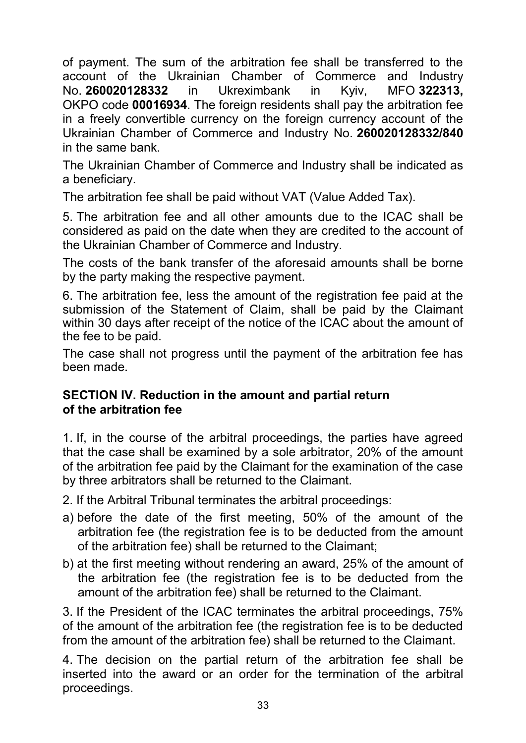of payment. The sum of the arbitration fee shall be transferred to the account of the Ukrainian Chamber of Commerce and Industry No. **260020128332** in Ukreximbank in Kyiv, MFO **322313,**  OKPO code **00016934**. The foreign residents shall pay the arbitration fee in a freely convertible currency on the foreign currency account of the Ukrainian Chamber of Commerce and Industry No. **260020128332/840** in the same bank.

The Ukrainian Chamber of Commerce and Industry shall be indicated as a beneficiary.

The arbitration fee shall be paid without VAT (Value Added Tax).

5. The arbitration fee and all other amounts due to the ICAC shall be considered as paid on the date when they are credited to the account of the Ukrainian Chamber of Commerce and Industry.

The costs of the bank transfer of the aforesaid amounts shall be borne by the party making the respective payment.

6. The arbitration fee, less the amount of the registration fee paid at the submission of the Statement of Claim, shall be paid by the Claimant within 30 days after receipt of the notice of the ICAC about the amount of the fee to be paid.

The case shall not progress until the payment of the arbitration fee has been made.

### **SECTION IV. Reduction in the amount and partial return of the arbitration fee**

1. If, in the course of the arbitral proceedings, the parties have agreed that the case shall be examined by a sole arbitrator, 20% of the amount of the arbitration fee paid by the Claimant for the examination of the case by three arbitrators shall be returned to the Claimant.

2. If the Arbitral Tribunal terminates the arbitral proceedings:

- a) before the date of the first meeting, 50% of the amount of the arbitration fee (the registration fee is to be deducted from the amount of the arbitration fee) shall be returned to the Claimant;
- b) at the first meeting without rendering an award, 25% of the amount of the arbitration fee (the registration fee is to be deducted from the amount of the arbitration fee) shall be returned to the Claimant.

3. If the President of the ICAC terminates the arbitral proceedings, 75% of the amount of the arbitration fee (the registration fee is to be deducted from the amount of the arbitration fee) shall be returned to the Claimant.

4. The decision on the partial return of the arbitration fee shall be inserted into the award or an order for the termination of the arbitral proceedings.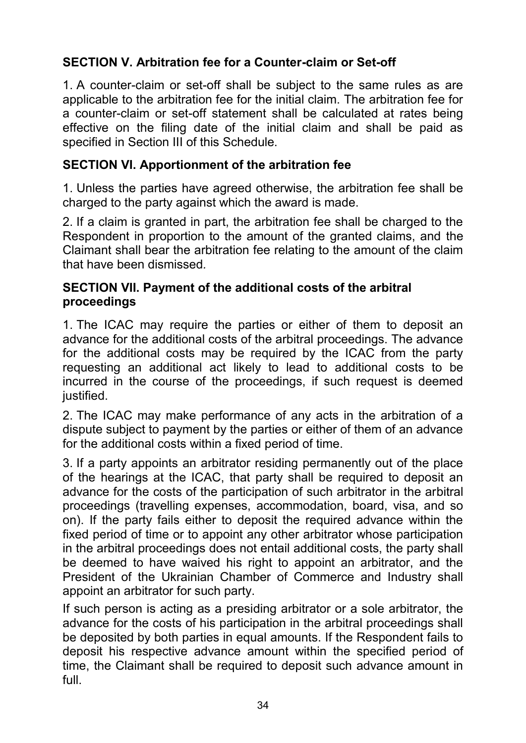# **SECTION V. Arbitration fee for a Counter-claim or Set-off**

1. A counter-claim or set-off shall be subject to the same rules as are applicable to the arbitration fee for the initial claim. The arbitration fee for a counter-claim or set-off statement shall be calculated at rates being effective on the filing date of the initial claim and shall be paid as specified in Section III of this Schedule.

## **SECTION VI. Apportionment of the arbitration fee**

1. Unless the parties have agreed otherwise, the arbitration fee shall be charged to the party against which the award is made.

2. If a claim is granted in part, the arbitration fee shall be charged to the Respondent in proportion to the amount of the granted claims, and the Claimant shall bear the arbitration fee relating to the amount of the claim that have been dismissed*.*

### **SECTION VII. Payment of the additional costs of the arbitral proceedings**

1. The ICAC may require the parties or either of them to deposit an advance for the additional costs of the arbitral proceedings. The advance for the additional costs may be required by the ICAC from the party requesting an additional act likely to lead to additional costs to be incurred in the course of the proceedings, if such request is deemed justified.

2. The ICAC may make performance of any acts in the arbitration of a dispute subject to payment by the parties or either of them of an advance for the additional costs within a fixed period of time.

3. If a party appoints an arbitrator residing permanently out of the place of the hearings at the ICAC, that party shall be required to deposit an advance for the costs of the participation of such arbitrator in the arbitral proceedings (travelling expenses, accommodation, board, visa, and so on). If the party fails either to deposit the required advance within the fixed period of time or to appoint any other arbitrator whose participation in the arbitral proceedings does not entail additional costs, the party shall be deemed to have waived his right to appoint an arbitrator, and the President of the Ukrainian Chamber of Commerce and Industry shall appoint an arbitrator for such party.

If such person is acting as a presiding arbitrator or a sole arbitrator, the advance for the costs of his participation in the arbitral proceedings shall be deposited by both parties in equal amounts. If the Respondent fails to deposit his respective advance amount within the specified period of time, the Claimant shall be required to deposit such advance amount in full.